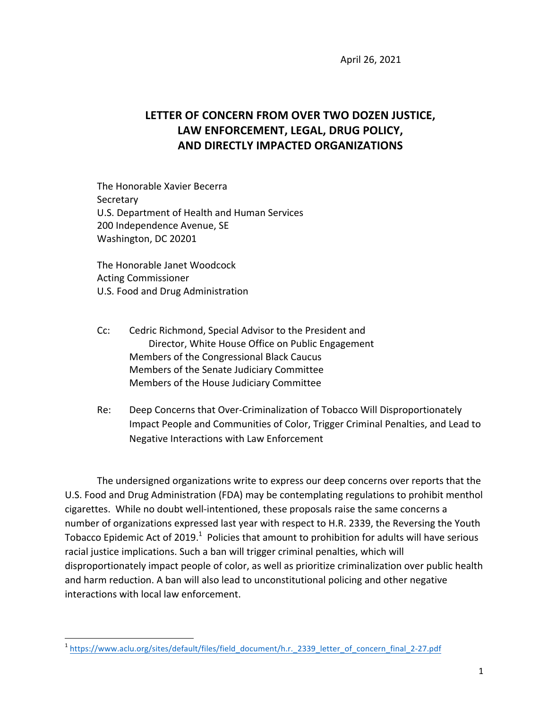April 26, 2021

## LETTER OF CONCERN FROM OVER TWO DOZEN JUSTICE, LAW ENFORCEMENT, LEGAL, DRUG POLICY, **AND DIRECTLY IMPACTED ORGANIZATIONS**

The Honorable Xavier Becerra **Secretary** U.S. Department of Health and Human Services 200 Independence Avenue, SE Washington, DC 20201

The Honorable Janet Woodcock Acting Commissioner U.S. Food and Drug Administration

<u> 1989 - Jan Samuel Barbara, margaret e</u>

- Cc: Cedric Richmond, Special Advisor to the President and Director, White House Office on Public Engagement Members of the Congressional Black Caucus Members of the Senate Judiciary Committee Members of the House Judiciary Committee
- Re: Deep Concerns that Over-Criminalization of Tobacco Will Disproportionately Impact People and Communities of Color, Trigger Criminal Penalties, and Lead to Negative Interactions with Law Enforcement

The undersigned organizations write to express our deep concerns over reports that the U.S. Food and Drug Administration (FDA) may be contemplating regulations to prohibit menthol cigarettes. While no doubt well-intentioned, these proposals raise the same concerns a number of organizations expressed last year with respect to H.R. 2339, the Reversing the Youth Tobacco Epidemic Act of 2019.<sup>1</sup> Policies that amount to prohibition for adults will have serious racial justice implications. Such a ban will trigger criminal penalties, which will disproportionately impact people of color, as well as prioritize criminalization over public health and harm reduction. A ban will also lead to unconstitutional policing and other negative interactions with local law enforcement.

<sup>&</sup>lt;sup>1</sup> https://www.aclu.org/sites/default/files/field\_document/h.r.\_2339\_letter\_of\_concern\_final\_2-27.pdf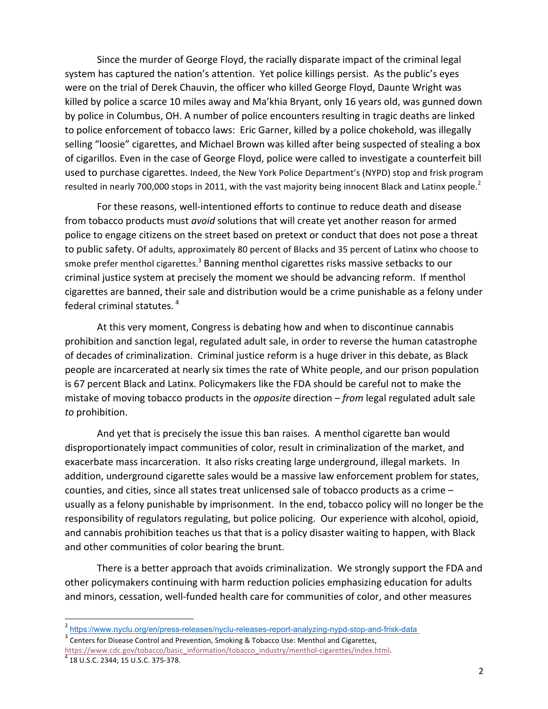Since the murder of George Floyd, the racially disparate impact of the criminal legal system has captured the nation's attention. Yet police killings persist. As the public's eyes were on the trial of Derek Chauvin, the officer who killed George Floyd, Daunte Wright was killed by police a scarce 10 miles away and Ma'khia Bryant, only 16 years old, was gunned down by police in Columbus, OH. A number of police encounters resulting in tragic deaths are linked to police enforcement of tobacco laws: Eric Garner, killed by a police chokehold, was illegally selling "loosie" cigarettes, and Michael Brown was killed after being suspected of stealing a box of cigarillos. Even in the case of George Floyd, police were called to investigate a counterfeit bill used to purchase cigarettes. Indeed, the New York Police Department's (NYPD) stop and frisk program resulted in nearly 700,000 stops in 2011, with the vast majority being innocent Black and Latinx people.<sup>2</sup>

For these reasons, well-intentioned efforts to continue to reduce death and disease from tobacco products must *avoid* solutions that will create yet another reason for armed police to engage citizens on the street based on pretext or conduct that does not pose a threat to public safety. Of adults, approximately 80 percent of Blacks and 35 percent of Latinx who choose to smoke prefer menthol cigarettes.<sup>3</sup> Banning menthol cigarettes risks massive setbacks to our criminal justice system at precisely the moment we should be advancing reform. If menthol cigarettes are banned, their sale and distribution would be a crime punishable as a felony under federal criminal statutes.  $4$ 

At this very moment, Congress is debating how and when to discontinue cannabis prohibition and sanction legal, regulated adult sale, in order to reverse the human catastrophe of decades of criminalization. Criminal justice reform is a huge driver in this debate, as Black people are incarcerated at nearly six times the rate of White people, and our prison population is 67 percent Black and Latinx. Policymakers like the FDA should be careful not to make the mistake of moving tobacco products in the *opposite* direction – *from* legal regulated adult sale *to* prohibition. 

And yet that is precisely the issue this ban raises. A menthol cigarette ban would disproportionately impact communities of color, result in criminalization of the market, and exacerbate mass incarceration. It also risks creating large underground, illegal markets. In addition, underground cigarette sales would be a massive law enforcement problem for states, counties, and cities, since all states treat unlicensed sale of tobacco products as a crime usually as a felony punishable by imprisonment. In the end, tobacco policy will no longer be the responsibility of regulators regulating, but police policing. Our experience with alcohol, opioid, and cannabis prohibition teaches us that that is a policy disaster waiting to happen, with Black and other communities of color bearing the brunt.

There is a better approach that avoids criminalization. We strongly support the FDA and other policymakers continuing with harm reduction policies emphasizing education for adults and minors, cessation, well-funded health care for communities of color, and other measures

 

<sup>2</sup> https://www.nyclu.org/en/press-releases/nyclu-releases-report-analyzing-nypd-stop-and-frisk-data

 $3$  Centers for Disease Control and Prevention, Smoking & Tobacco Use: Menthol and Cigarettes, https://www.cdc.gov/tobacco/basic\_information/tobacco\_industry/menthol-cigarettes/index.html. 4 18 U.S.C. 2344; 15 U.S.C. 375-378.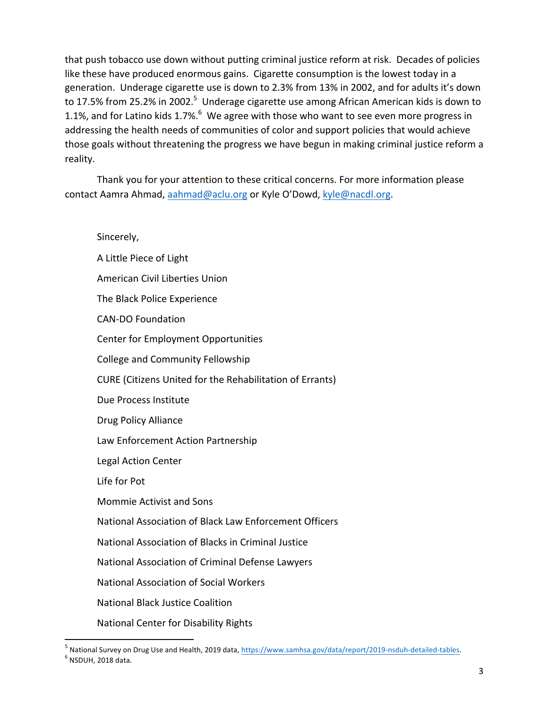that push tobacco use down without putting criminal justice reform at risk. Decades of policies like these have produced enormous gains. Cigarette consumption is the lowest today in a generation. Underage cigarette use is down to 2.3% from 13% in 2002, and for adults it's down to 17.5% from 25.2% in 2002.<sup>5</sup> Underage cigarette use among African American kids is down to 1.1%, and for Latino kids 1.7%. $^6$  We agree with those who want to see even more progress in addressing the health needs of communities of color and support policies that would achieve those goals without threatening the progress we have begun in making criminal justice reform a reality.

Thank you for your attention to these critical concerns. For more information please contact Aamra Ahmad, aahmad@aclu.org or Kyle O'Dowd, kyle@nacdl.org.

## Sincerely,

<u> 1989 - Jan Samuel Barbara, margaret e</u>

A Little Piece of Light American Civil Liberties Union The Black Police Experience CAN-DO Foundation Center for Employment Opportunities College and Community Fellowship CURE (Citizens United for the Rehabilitation of Errants) Due Process Institute Drug Policy Alliance Law Enforcement Action Partnership Legal Action Center Life for Pot Mommie Activist and Sons National Association of Black Law Enforcement Officers National Association of Blacks in Criminal Justice National Association of Criminal Defense Lawyers National Association of Social Workers National Black Justice Coalition National Center for Disability Rights

<sup>5</sup> National Survey on Drug Use and Health, 2019 data, https://www.samhsa.gov/data/report/2019-nsduh-detailed-tables.  $<sup>6</sup>$  NSDUH, 2018 data.</sup>